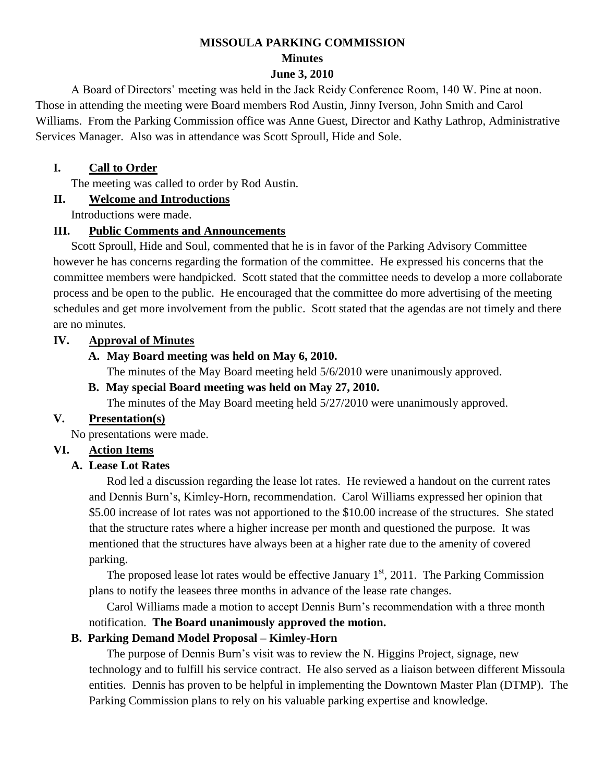# **MISSOULA PARKING COMMISSION Minutes**

### **June 3, 2010**

A Board of Directors' meeting was held in the Jack Reidy Conference Room, 140 W. Pine at noon. Those in attending the meeting were Board members Rod Austin, Jinny Iverson, John Smith and Carol Williams. From the Parking Commission office was Anne Guest, Director and Kathy Lathrop, Administrative Services Manager. Also was in attendance was Scott Sproull, Hide and Sole.

### **I. Call to Order**

The meeting was called to order by Rod Austin.

# **II. Welcome and Introductions**

Introductions were made.

### **III. Public Comments and Announcements**

Scott Sproull, Hide and Soul, commented that he is in favor of the Parking Advisory Committee however he has concerns regarding the formation of the committee. He expressed his concerns that the committee members were handpicked. Scott stated that the committee needs to develop a more collaborate process and be open to the public. He encouraged that the committee do more advertising of the meeting schedules and get more involvement from the public. Scott stated that the agendas are not timely and there are no minutes.

# **IV. Approval of Minutes**

# **A. May Board meeting was held on May 6, 2010.**

The minutes of the May Board meeting held 5/6/2010 were unanimously approved.

### **B. May special Board meeting was held on May 27, 2010.**

The minutes of the May Board meeting held 5/27/2010 were unanimously approved.

# **V. Presentation(s)**

No presentations were made.

# **VI. Action Items**

# **A. Lease Lot Rates**

Rod led a discussion regarding the lease lot rates. He reviewed a handout on the current rates and Dennis Burn's, Kimley-Horn, recommendation. Carol Williams expressed her opinion that \$5.00 increase of lot rates was not apportioned to the \$10.00 increase of the structures. She stated that the structure rates where a higher increase per month and questioned the purpose. It was mentioned that the structures have always been at a higher rate due to the amenity of covered parking.

The proposed lease lot rates would be effective January  $1<sup>st</sup>$ , 2011. The Parking Commission plans to notify the leasees three months in advance of the lease rate changes.

Carol Williams made a motion to accept Dennis Burn's recommendation with a three month notification. **The Board unanimously approved the motion.**

# **B. Parking Demand Model Proposal – Kimley-Horn**

The purpose of Dennis Burn's visit was to review the N. Higgins Project, signage, new technology and to fulfill his service contract. He also served as a liaison between different Missoula entities. Dennis has proven to be helpful in implementing the Downtown Master Plan (DTMP). The Parking Commission plans to rely on his valuable parking expertise and knowledge.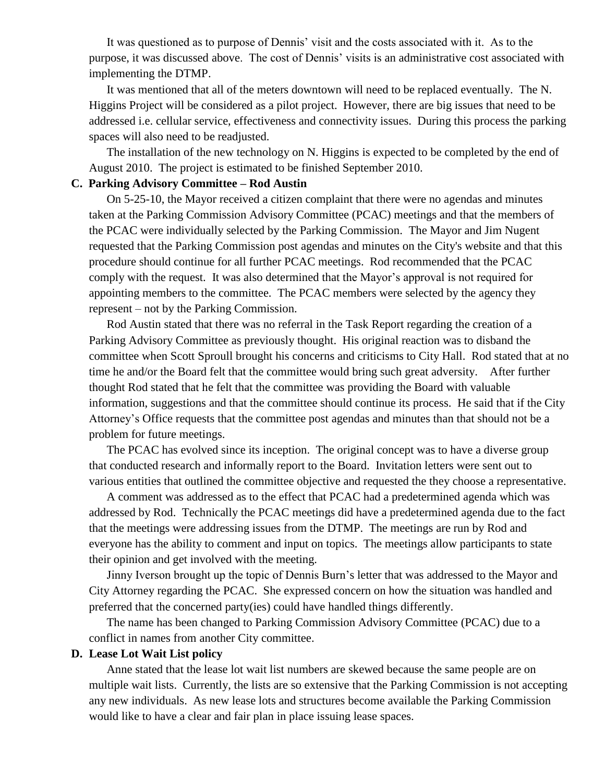It was questioned as to purpose of Dennis' visit and the costs associated with it. As to the purpose, it was discussed above. The cost of Dennis' visits is an administrative cost associated with implementing the DTMP.

It was mentioned that all of the meters downtown will need to be replaced eventually. The N. Higgins Project will be considered as a pilot project. However, there are big issues that need to be addressed i.e. cellular service, effectiveness and connectivity issues. During this process the parking spaces will also need to be readjusted.

The installation of the new technology on N. Higgins is expected to be completed by the end of August 2010. The project is estimated to be finished September 2010.

#### **C. Parking Advisory Committee – Rod Austin**

On 5-25-10, the Mayor received a citizen complaint that there were no agendas and minutes taken at the Parking Commission Advisory Committee (PCAC) meetings and that the members of the PCAC were individually selected by the Parking Commission. The Mayor and Jim Nugent requested that the Parking Commission post agendas and minutes on the City's website and that this procedure should continue for all further PCAC meetings. Rod recommended that the PCAC comply with the request. It was also determined that the Mayor's approval is not required for appointing members to the committee. The PCAC members were selected by the agency they represent – not by the Parking Commission.

Rod Austin stated that there was no referral in the Task Report regarding the creation of a Parking Advisory Committee as previously thought. His original reaction was to disband the committee when Scott Sproull brought his concerns and criticisms to City Hall. Rod stated that at no time he and/or the Board felt that the committee would bring such great adversity. After further thought Rod stated that he felt that the committee was providing the Board with valuable information, suggestions and that the committee should continue its process. He said that if the City Attorney's Office requests that the committee post agendas and minutes than that should not be a problem for future meetings.

The PCAC has evolved since its inception. The original concept was to have a diverse group that conducted research and informally report to the Board. Invitation letters were sent out to various entities that outlined the committee objective and requested the they choose a representative.

A comment was addressed as to the effect that PCAC had a predetermined agenda which was addressed by Rod. Technically the PCAC meetings did have a predetermined agenda due to the fact that the meetings were addressing issues from the DTMP. The meetings are run by Rod and everyone has the ability to comment and input on topics. The meetings allow participants to state their opinion and get involved with the meeting.

Jinny Iverson brought up the topic of Dennis Burn's letter that was addressed to the Mayor and City Attorney regarding the PCAC. She expressed concern on how the situation was handled and preferred that the concerned party(ies) could have handled things differently.

The name has been changed to Parking Commission Advisory Committee (PCAC) due to a conflict in names from another City committee.

#### **D. Lease Lot Wait List policy**

Anne stated that the lease lot wait list numbers are skewed because the same people are on multiple wait lists. Currently, the lists are so extensive that the Parking Commission is not accepting any new individuals. As new lease lots and structures become available the Parking Commission would like to have a clear and fair plan in place issuing lease spaces.